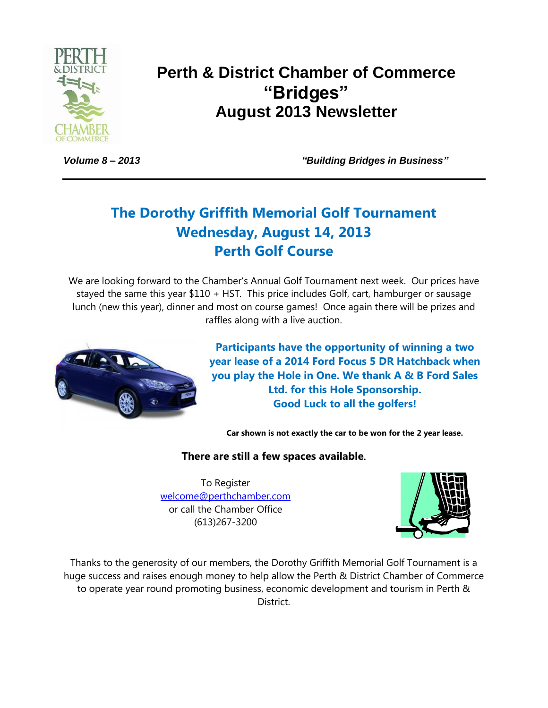

# **Perth & District Chamber of Commerce "Bridges" August 2013 Newsletter**

*Volume 8 – 2013 "Building Bridges in Business"*

# **The Dorothy Griffith Memorial Golf Tournament Wednesday, August 14, 2013 Perth Golf Course**

We are looking forward to the Chamber's Annual Golf Tournament next week. Our prices have stayed the same this year \$110 + HST. This price includes Golf, cart, hamburger or sausage lunch (new this year), dinner and most on course games! Once again there will be prizes and raffles along with a live auction.



**Participants have the opportunity of winning a two year lease of a 2014 Ford Focus 5 DR Hatchback when you play the Hole in One. We thank A & B Ford Sales Ltd. for this Hole Sponsorship. Good Luck to all the golfers!**

**Car shown is not exactly the car to be won for the 2 year lease.**

### **There are still a few spaces available.**

To Register [welcome@perthchamber.com](mailto:welcome@perthchamber.com) or call the Chamber Office (613)267-3200



Thanks to the generosity of our members, the Dorothy Griffith Memorial Golf Tournament is a huge success and raises enough money to help allow the Perth & District Chamber of Commerce to operate year round promoting business, economic development and tourism in Perth & District.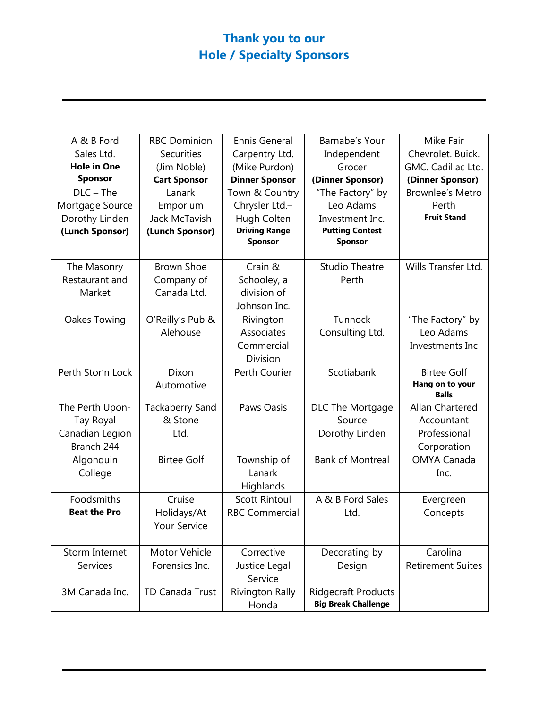# **Thank you to our Hole / Specialty Sponsors**

| A & B Ford          | <b>RBC Dominion</b>    | <b>Ennis General</b>   | Barnabe's Your             | Mike Fair                       |
|---------------------|------------------------|------------------------|----------------------------|---------------------------------|
| Sales Ltd.          | Securities             | Carpentry Ltd.         | Independent                | Chevrolet. Buick.               |
| <b>Hole in One</b>  | (Jim Noble)            | (Mike Purdon)          | Grocer                     | GMC. Cadillac Ltd.              |
| <b>Sponsor</b>      | <b>Cart Sponsor</b>    | <b>Dinner Sponsor</b>  | (Dinner Sponsor)           | (Dinner Sponsor)                |
| $DLC - The$         | Lanark                 | Town & Country         | "The Factory" by           | <b>Brownlee's Metro</b>         |
| Mortgage Source     | Emporium               | Chrysler Ltd.-         | Leo Adams                  | Perth                           |
| Dorothy Linden      | Jack McTavish          | Hugh Colten            | Investment Inc.            | <b>Fruit Stand</b>              |
| (Lunch Sponsor)     | (Lunch Sponsor)        | <b>Driving Range</b>   | <b>Putting Contest</b>     |                                 |
|                     |                        | Sponsor                | Sponsor                    |                                 |
| The Masonry         | <b>Brown Shoe</b>      | Crain &                | <b>Studio Theatre</b>      | Wills Transfer Ltd.             |
| Restaurant and      | Company of             | Schooley, a            | Perth                      |                                 |
| Market              | Canada Ltd.            | division of            |                            |                                 |
|                     |                        | Johnson Inc.           |                            |                                 |
| Oakes Towing        | O'Reilly's Pub &       | Rivington              | Tunnock                    | "The Factory" by                |
|                     | Alehouse               | Associates             | Consulting Ltd.            | Leo Adams                       |
|                     |                        | Commercial             |                            | Investments Inc                 |
|                     |                        | Division               |                            |                                 |
| Perth Stor'n Lock   | Dixon                  | <b>Perth Courier</b>   | Scotiabank                 | <b>Birtee Golf</b>              |
|                     | Automotive             |                        |                            | Hang on to your<br><b>Balls</b> |
| The Perth Upon-     | <b>Tackaberry Sand</b> | Paws Oasis             | DLC The Mortgage           | Allan Chartered                 |
| Tay Royal           | & Stone                |                        | Source                     | Accountant                      |
| Canadian Legion     | Ltd.                   |                        | Dorothy Linden             | Professional                    |
| Branch 244          |                        |                        |                            | Corporation                     |
| Algonquin           | <b>Birtee Golf</b>     | Township of            | <b>Bank of Montreal</b>    | <b>OMYA Canada</b>              |
| College             |                        | Lanark                 |                            | Inc.                            |
|                     |                        | Highlands              |                            |                                 |
| Foodsmiths          | Cruise                 | <b>Scott Rintoul</b>   | A & B Ford Sales           | Evergreen                       |
| <b>Beat the Pro</b> | Holidays/At            | <b>RBC Commercial</b>  | Ltd.                       | Concepts                        |
|                     | <b>Your Service</b>    |                        |                            |                                 |
|                     |                        |                        |                            |                                 |
| Storm Internet      | Motor Vehicle          | Corrective             | Decorating by              | Carolina                        |
| <b>Services</b>     | Forensics Inc.         | Justice Legal          | Design                     | <b>Retirement Suites</b>        |
|                     |                        | Service                |                            |                                 |
| 3M Canada Inc.      | TD Canada Trust        | <b>Rivington Rally</b> | <b>Ridgecraft Products</b> |                                 |
|                     |                        | Honda                  | <b>Big Break Challenge</b> |                                 |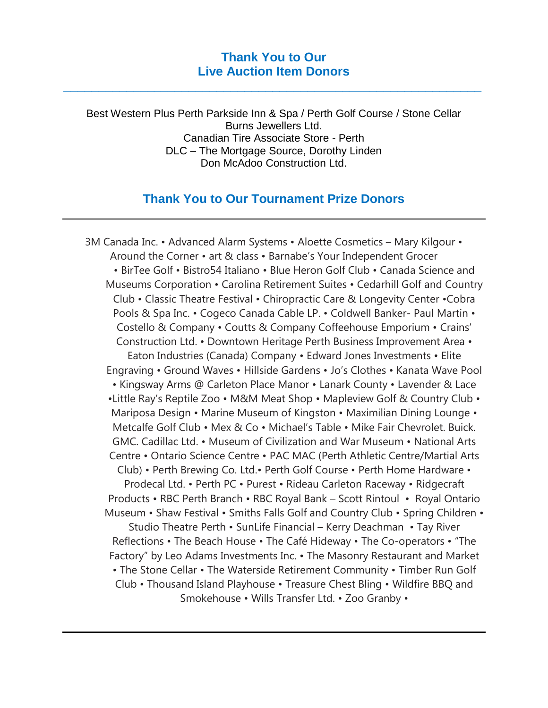### **Thank You to Our Live Auction Item Donors**

**\_\_\_\_\_\_\_\_\_\_\_\_\_\_\_\_\_\_\_\_\_\_\_\_\_\_\_\_\_\_\_\_\_\_\_\_\_\_\_\_\_\_\_\_\_\_\_\_\_\_\_\_\_\_\_\_\_\_\_\_**

Best Western Plus Perth Parkside Inn & Spa / Perth Golf Course / Stone Cellar Burns Jewellers Ltd. Canadian Tire Associate Store - Perth DLC – The Mortgage Source, Dorothy Linden Don McAdoo Construction Ltd.

## **Thank You to Our Tournament Prize Donors**

3M Canada Inc. • Advanced Alarm Systems • Aloette Cosmetics – Mary Kilgour • Around the Corner • art & class • Barnabe's Your Independent Grocer • BirTee Golf • Bistro54 Italiano • Blue Heron Golf Club • Canada Science and Museums Corporation • Carolina Retirement Suites • Cedarhill Golf and Country Club • Classic Theatre Festival • Chiropractic Care & Longevity Center •Cobra Pools & Spa Inc. • Cogeco Canada Cable LP. • Coldwell Banker- Paul Martin • Costello & Company • Coutts & Company Coffeehouse Emporium • Crains' Construction Ltd. • Downtown Heritage Perth Business Improvement Area • Eaton Industries (Canada) Company • Edward Jones Investments • Elite Engraving • Ground Waves • Hillside Gardens • Jo's Clothes • Kanata Wave Pool • Kingsway Arms @ Carleton Place Manor • Lanark County • Lavender & Lace •Little Ray's Reptile Zoo • M&M Meat Shop • Mapleview Golf & Country Club • Mariposa Design • Marine Museum of Kingston • Maximilian Dining Lounge • Metcalfe Golf Club • Mex & Co • Michael's Table • Mike Fair Chevrolet. Buick. GMC. Cadillac Ltd. • Museum of Civilization and War Museum • National Arts Centre • Ontario Science Centre • PAC MAC (Perth Athletic Centre/Martial Arts Club) • Perth Brewing Co. Ltd.• Perth Golf Course • Perth Home Hardware • Prodecal Ltd. • Perth PC • Purest • Rideau Carleton Raceway • Ridgecraft Products • RBC Perth Branch • RBC Royal Bank – Scott Rintoul • Royal Ontario Museum • Shaw Festival • Smiths Falls Golf and Country Club • Spring Children • Studio Theatre Perth • SunLife Financial – Kerry Deachman • Tay River Reflections • The Beach House • The Café Hideway • The Co-operators • "The Factory" by Leo Adams Investments Inc. • The Masonry Restaurant and Market • The Stone Cellar • The Waterside Retirement Community • Timber Run Golf Club • Thousand Island Playhouse • Treasure Chest Bling • Wildfire BBQ and Smokehouse • Wills Transfer Ltd. • Zoo Granby •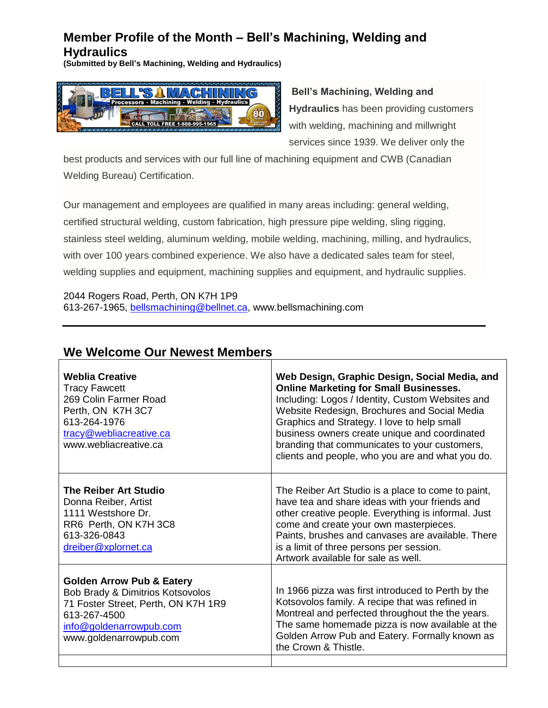## **Member Profile of the Month – Bell's Machining, Welding and Hydraulics**

**(Submitted by Bell's Machining, Welding and Hydraulics)**



**Bell's Machining, Welding and Hydraulics** has been providing customers with welding, machining and millwright services since 1939. We deliver only the

best products and services with our full line of machining equipment and CWB (Canadian Welding Bureau) Certification.

Our management and employees are qualified in many areas including: general welding, certified structural welding, custom fabrication, high pressure pipe welding, sling rigging, stainless steel welding, aluminum welding, mobile welding, machining, milling, and hydraulics, with over 100 years combined experience. We also have a dedicated sales team for steel, welding supplies and equipment, machining supplies and equipment, and hydraulic supplies.

2044 Rogers Road, Perth, ON K7H 1P9 613-267-1965, [bellsmachining@bellnet.ca,](mailto:bellsmachining@bellnet.ca) www.bellsmachining.com

| <b>Weblia Creative</b><br><b>Tracy Fawcett</b><br>269 Colin Farmer Road<br>Perth, ON K7H 3C7<br>613-264-1976<br>tracy@webliacreative.ca<br>www.webliacreative.ca                     | Web Design, Graphic Design, Social Media, and<br><b>Online Marketing for Small Businesses.</b><br>Including: Logos / Identity, Custom Websites and<br>Website Redesign, Brochures and Social Media<br>Graphics and Strategy. I love to help small<br>business owners create unique and coordinated<br>branding that communicates to your customers,<br>clients and people, who you are and what you do. |
|--------------------------------------------------------------------------------------------------------------------------------------------------------------------------------------|---------------------------------------------------------------------------------------------------------------------------------------------------------------------------------------------------------------------------------------------------------------------------------------------------------------------------------------------------------------------------------------------------------|
| The Reiber Art Studio<br>Donna Reiber, Artist<br>1111 Westshore Dr.<br>RR6 Perth, ON K7H 3C8<br>613-326-0843<br>dreiber@xplornet.ca                                                  | The Reiber Art Studio is a place to come to paint,<br>have tea and share ideas with your friends and<br>other creative people. Everything is informal. Just<br>come and create your own masterpieces.<br>Paints, brushes and canvases are available. There<br>is a limit of three persons per session.<br>Artwork available for sale as well.                                                           |
| <b>Golden Arrow Pub &amp; Eatery</b><br>Bob Brady & Dimitrios Kotsovolos<br>71 Foster Street, Perth, ON K7H 1R9<br>613-267-4500<br>info@goldenarrowpub.com<br>www.goldenarrowpub.com | In 1966 pizza was first introduced to Perth by the<br>Kotsovolos family. A recipe that was refined in<br>Montreal and perfected throughout the the years.<br>The same homemade pizza is now available at the<br>Golden Arrow Pub and Eatery. Formally known as<br>the Crown & Thistle.                                                                                                                  |

### **We Welcome Our Newest Members**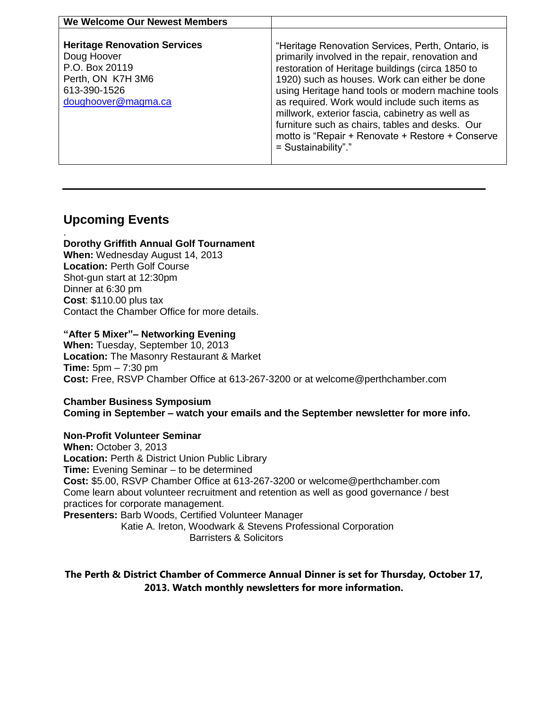| We Welcome Our Newest Members                                                                                                    |                                                                                                                                                                                                                                                                                                                                                                                                                                                                                                   |
|----------------------------------------------------------------------------------------------------------------------------------|---------------------------------------------------------------------------------------------------------------------------------------------------------------------------------------------------------------------------------------------------------------------------------------------------------------------------------------------------------------------------------------------------------------------------------------------------------------------------------------------------|
| <b>Heritage Renovation Services</b><br>Doug Hoover<br>P.O. Box 20119<br>Perth, ON K7H 3M6<br>613-390-1526<br>doughoover@magma.ca | "Heritage Renovation Services, Perth, Ontario, is<br>primarily involved in the repair, renovation and<br>restoration of Heritage buildings (circa 1850 to<br>1920) such as houses. Work can either be done<br>using Heritage hand tools or modern machine tools<br>as required. Work would include such items as<br>millwork, exterior fascia, cabinetry as well as<br>furniture such as chairs, tables and desks. Our<br>motto is "Repair + Renovate + Restore + Conserve<br>= Sustainability"." |

## **Upcoming Events**

#### . **Dorothy Griffith Annual Golf Tournament**

**When:** Wednesday August 14, 2013 **Location:** Perth Golf Course Shot-gun start at 12:30pm Dinner at 6:30 pm **Cost**: \$110.00 plus tax Contact the Chamber Office for more details.

#### **"After 5 Mixer"– Networking Evening**

**When:** Tuesday, September 10, 2013 **Location:** The Masonry Restaurant & Market **Time:** 5pm – 7:30 pm **Cost:** Free, RSVP Chamber Office at 613-267-3200 or at welcome@perthchamber.com

**Chamber Business Symposium Coming in September – watch your emails and the September newsletter for more info.**

#### **Non-Profit Volunteer Seminar**

**When:** October 3, 2013 **Location:** Perth & District Union Public Library **Time:** Evening Seminar – to be determined **Cost:** \$5.00, RSVP Chamber Office at 613-267-3200 or welcome@perthchamber.com Come learn about volunteer recruitment and retention as well as good governance / best practices for corporate management. **Presenters:** Barb Woods, Certified Volunteer Manager Katie A. Ireton, Woodwark & Stevens Professional Corporation

Barristers & Solicitors

**The Perth & District Chamber of Commerce Annual Dinner is set for Thursday, October 17, 2013. Watch monthly newsletters for more information.**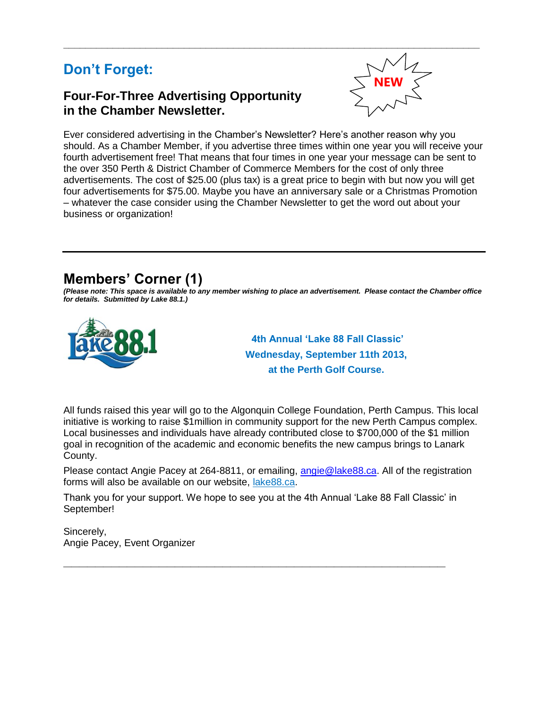# **Don't Forget:**

## **Four-For-Three Advertising Opportunity in the Chamber Newsletter.**



Ever considered advertising in the Chamber's Newsletter? Here's another reason why you should. As a Chamber Member, if you advertise three times within one year you will receive your fourth advertisement free! That means that four times in one year your message can be sent to the over 350 Perth & District Chamber of Commerce Members for the cost of only three advertisements. The cost of \$25.00 (plus tax) is a great price to begin with but now you will get four advertisements for \$75.00. Maybe you have an anniversary sale or a Christmas Promotion – whatever the case consider using the Chamber Newsletter to get the word out about your business or organization!

# **Members' Corner (1)**

*(Please note: This space is available to any member wishing to place an advertisement. Please contact the Chamber office for details. Submitted by Lake 88.1.)*



**4th Annual 'Lake 88 Fall Classic' Wednesday, September 11th 2013, at the Perth Golf Course.**

All funds raised this year will go to the Algonquin College Foundation, Perth Campus. This local initiative is working to raise \$1million in community support for the new Perth Campus complex. Local businesses and individuals have already contributed close to \$700,000 of the \$1 million goal in recognition of the academic and economic benefits the new campus brings to Lanark County.

Please contact Angie Pacey at 264-8811, or emailing, [angie@lake88.ca.](mailto:angie@lake88.ca) All of the registration forms will also be available on our website, lake88.ca.

Thank you for your support. We hope to see you at the 4th Annual 'Lake 88 Fall Classic' in September!

**\_\_\_\_\_\_\_\_\_\_\_\_\_\_\_\_\_\_\_\_\_\_\_\_\_\_\_\_\_\_\_\_\_\_\_\_\_\_\_\_\_\_\_\_\_\_\_\_**

Sincerely, Angie Pacey, Event Organizer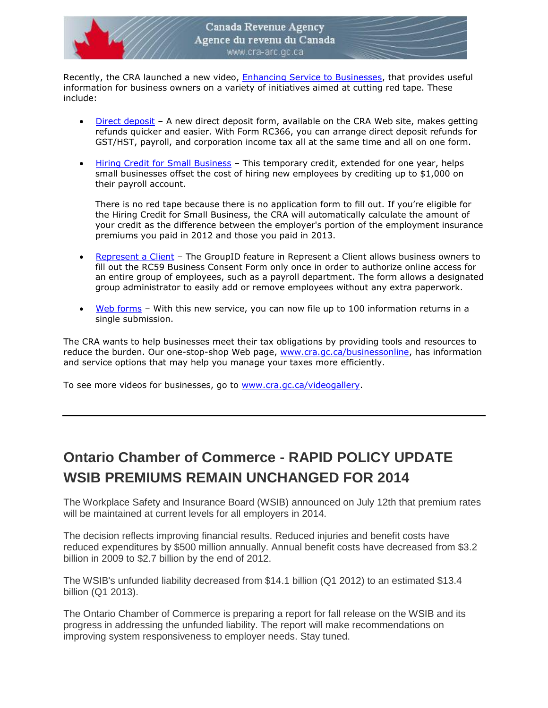

Recently, the CRA launched a new video, [Enhancing Service to Businesses,](http://www.cra-arc.gc.ca/vdgllry/bsnss/menu-eng.html?clp=bsnss/hnncngsrvc-eng&fmt=mp4?utm_source=stkhldrs&utm_medium=eml&utm_campaign=vdbsn) that provides useful information for business owners on a variety of initiatives aimed at cutting red tape. These include:

- [Direct deposit](http://www.cra-arc.gc.ca/gncy/dd/menu-eng.html?utm_source=stkhldrs&utm_medium=eml&utm_campaign=vdbsn) A new direct deposit form, available on the CRA Web site, makes getting refunds quicker and easier. With Form RC366, you can arrange direct deposit refunds for GST/HST, payroll, and corporation income tax all at the same time and all on one form.
- [Hiring Credit for Small Business](http://www.cra-arc.gc.ca/tx/bsnss/tpcs/pyrll/hwpyrllwrks/stps/hrng/hcsb-2013-eng.html?utm_source=stkhldrs&utm_medium=eml&utm_campaign=vdbsn) This temporary credit, extended for one year, helps small businesses offset the cost of hiring new employees by crediting up to \$1,000 on their payroll account.

There is no red tape because there is no application form to fill out. If you're eligible for the Hiring Credit for Small Business, the CRA will automatically calculate the amount of your credit as the difference between the employer's portion of the employment insurance premiums you paid in 2012 and those you paid in 2013.

- [Represent a Client](http://www.cra-arc.gc.ca/representatives/?utm_source=stkhldrs&utm_medium=eml&utm_campaign=vdbsn) The GroupID feature in Represent a Client allows business owners to fill out the RC59 Business Consent Form only once in order to authorize online access for an entire group of employees, such as a payroll department. The form allows a designated group administrator to easily add or remove employees without any extra paperwork.
- [Web forms](http://www.cra-arc.gc.ca/webforms/?utm_source=stkhldrs&utm_medium=eml&utm_campaign=vdbsn) With this new service, you can now file up to 100 information returns in a single submission.

The CRA wants to help businesses meet their tax obligations by providing tools and resources to reduce the burden. Our one-stop-shop Web page, [www.cra.gc.ca/businessonline,](http://www.cra-arc.gc.ca/businessonline/?utm_source=stkhldrs&utm_medium=eml&utm_campaign=vdbsn) has information and service options that may help you manage your taxes more efficiently.

To see more videos for businesses, go to [www.cra.gc.ca/videogallery.](http://www.cra-arc.gc.ca/videogallery/?utm_source=stkhldrs&utm_medium=eml&utm_campaign=vdbsn)

# **Ontario Chamber of Commerce - RAPID POLICY UPDATE WSIB PREMIUMS REMAIN UNCHANGED FOR 2014**

The Workplace Safety and Insurance Board (WSIB) announced on July 12th that premium rates will be maintained at current levels for all employers in 2014.

The decision reflects improving financial results. Reduced injuries and benefit costs have reduced expenditures by \$500 million annually. Annual benefit costs have decreased from \$3.2 billion in 2009 to \$2.7 billion by the end of 2012.

The WSIB's unfunded liability decreased from \$14.1 billion (Q1 2012) to an estimated \$13.4 billion (Q1 2013).

The Ontario Chamber of Commerce is preparing a report for fall release on the WSIB and its progress in addressing the unfunded liability. The report will make recommendations on improving system responsiveness to employer needs. Stay tuned.